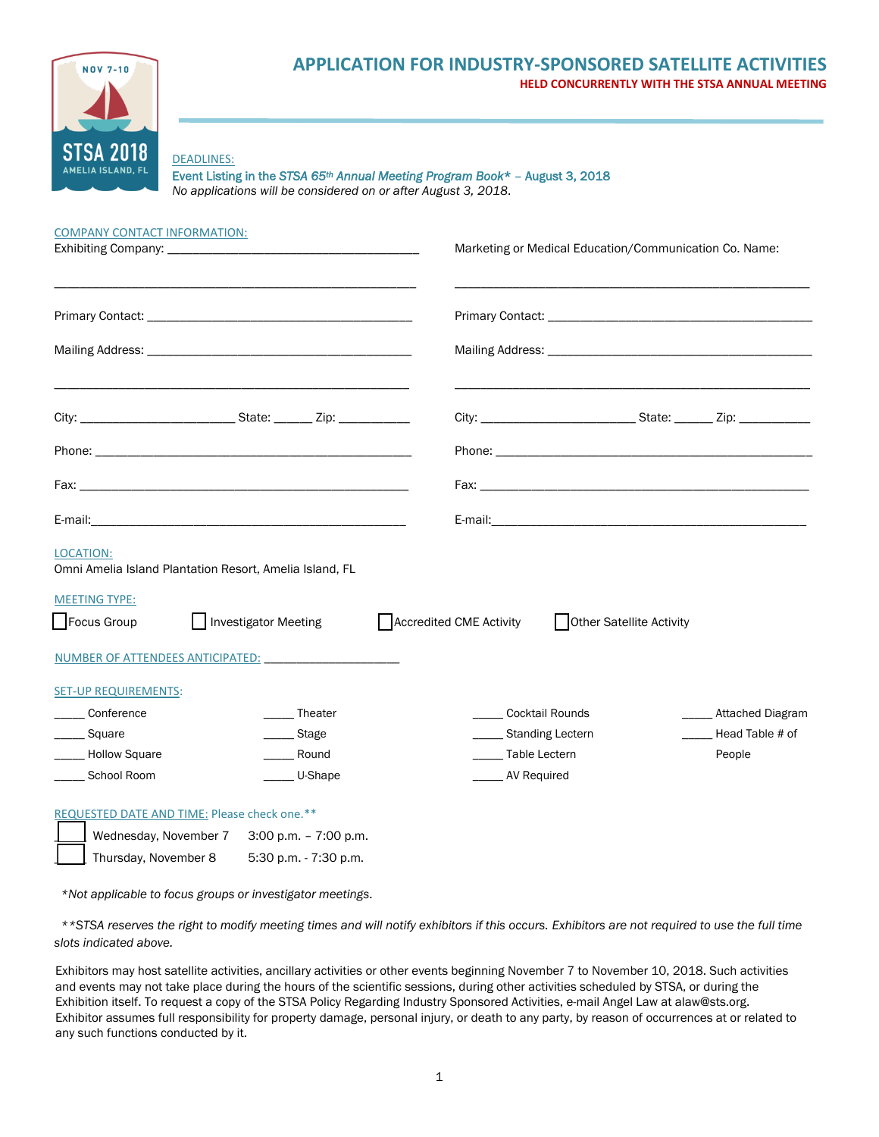

# **APPLICATION FOR INDUSTRY-SPONSORED SATELLITE ACTIVITIES HELD CONCURRENTLY WITH THE STSA ANNUAL MEETING**

### DEADLINES:

Event Listing in the *STSA 65th Annual Meeting Program Book*\* – August 3, 2018 *No applications will be considered on or after August 3, 2018*.

| <b>COMPANY CONTACT INFORMATION:</b> |                                                         |                         | Marketing or Medical Education/Communication Co. Name: |                         |
|-------------------------------------|---------------------------------------------------------|-------------------------|--------------------------------------------------------|-------------------------|
|                                     |                                                         |                         |                                                        |                         |
|                                     |                                                         |                         |                                                        |                         |
|                                     |                                                         |                         |                                                        |                         |
|                                     |                                                         |                         |                                                        |                         |
|                                     |                                                         |                         |                                                        |                         |
|                                     |                                                         |                         |                                                        |                         |
| <b>LOCATION:</b>                    | Omni Amelia Island Plantation Resort, Amelia Island, FL |                         |                                                        |                         |
| <b>MEETING TYPE:</b><br>Focus Group | Investigator Meeting                                    | Accredited CME Activity | Other Satellite Activity                               |                         |
|                                     |                                                         |                         |                                                        |                         |
| <b>SET-UP REQUIREMENTS:</b>         |                                                         |                         |                                                        |                         |
| ___ Conference                      | _____ Theater                                           | Cocktail Rounds         |                                                        | <b>Attached Diagram</b> |
| Square                              | _____ Stage                                             | ____ Standing Lectern   |                                                        | Head Table # of         |
| - Hollow Square                     | Round                                                   | ______ Table Lectern    |                                                        | People                  |
| School Room                         | U-Shape                                                 |                         | _____ AV Required                                      |                         |
|                                     | REQUESTED DATE AND TIME: Please check one.**            |                         |                                                        |                         |
|                                     | Wednesday, November 7 3:00 p.m. - 7:00 p.m.             |                         |                                                        |                         |

\_\_\_\_\_ Thursday, November 8 5:30 p.m. - 7:30 p.m.

*\*Not applicable to focus groups or investigator meetings.*

 *\*\*STSA reserves the right to modify meeting times and will notify exhibitors if this occurs. Exhibitors are not required to use the full time slots indicated above.* 

Exhibitors may host satellite activities, ancillary activities or other events beginning November 7 to November 10, 2018. Such activities and events may not take place during the hours of the scientific sessions, during other activities scheduled by STSA, or during the Exhibition itself. To request a copy of the STSA Policy Regarding Industry Sponsored Activities, e-mail Angel Law at alaw@sts.org. Exhibitor assumes full responsibility for property damage, personal injury, or death to any party, by reason of occurrences at or related to any such functions conducted by it.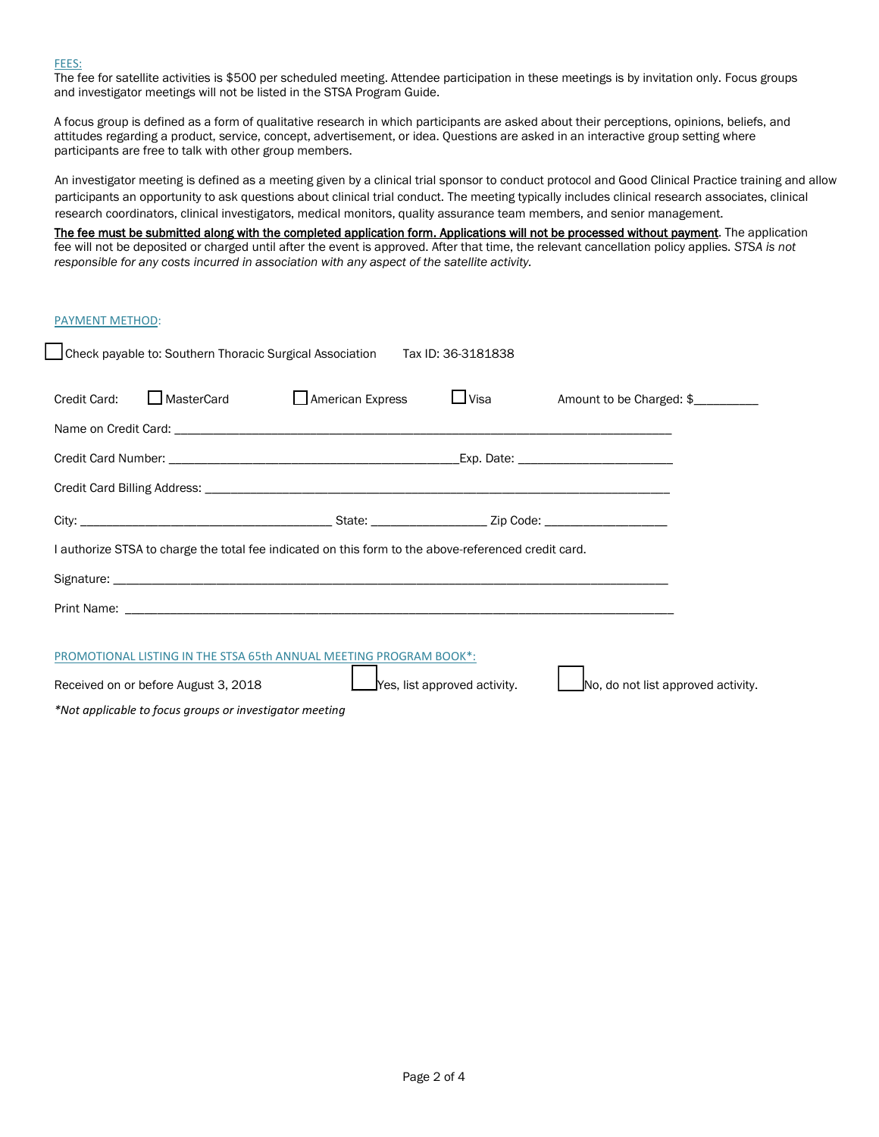#### FEES:

The fee for satellite activities is \$500 per scheduled meeting. Attendee participation in these meetings is by invitation only. Focus groups and investigator meetings will not be listed in the STSA Program Guide.

A focus group is defined as a form of qualitative research in which participants are asked about their perceptions, opinions, beliefs, and attitudes regarding a product, service, concept, advertisement, or idea. Questions are asked in an interactive group setting where participants are free to talk with other group members.

An investigator meeting is defined as a meeting given by a clinical trial sponsor to conduct protocol and Good Clinical Practice training and allow participants an opportunity to ask questions about clinical trial conduct. The meeting typically includes clinical research associates, clinical research coordinators, clinical investigators, medical monitors, quality assurance team members, and senior management.

The fee must be submitted along with the completed application form. Applications will not be processed without payment. The application fee will not be deposited or charged until after the event is approved. After that time, the relevant cancellation policy applies. *STSA is not responsible for any costs incurred in association with any aspect of the satellite activity.* 

#### PAYMENT METHOD:

ſ

| Check payable to: Southern Thoracic Surgical Association<br>Tax ID: 36-3181838                                      |            |                  |  |                                 |  |  |
|---------------------------------------------------------------------------------------------------------------------|------------|------------------|--|---------------------------------|--|--|
| Credit Card:                                                                                                        | MasterCard | American Express |  | □ Visa Amount to be Charged: \$ |  |  |
|                                                                                                                     |            |                  |  |                                 |  |  |
|                                                                                                                     |            |                  |  |                                 |  |  |
|                                                                                                                     |            |                  |  |                                 |  |  |
|                                                                                                                     |            |                  |  |                                 |  |  |
| I authorize STSA to charge the total fee indicated on this form to the above-referenced credit card.                |            |                  |  |                                 |  |  |
|                                                                                                                     |            |                  |  |                                 |  |  |
|                                                                                                                     |            |                  |  |                                 |  |  |
|                                                                                                                     |            |                  |  |                                 |  |  |
| PROMOTIONAL LISTING IN THE STSA 65th ANNUAL MEETING PROGRAM BOOK*:                                                  |            |                  |  |                                 |  |  |
| No, do not list approved activity.<br>$\Delta$ Yes, list approved activity.<br>Received on or before August 3, 2018 |            |                  |  |                                 |  |  |
| *Not applicable to focus groups or investigator meeting                                                             |            |                  |  |                                 |  |  |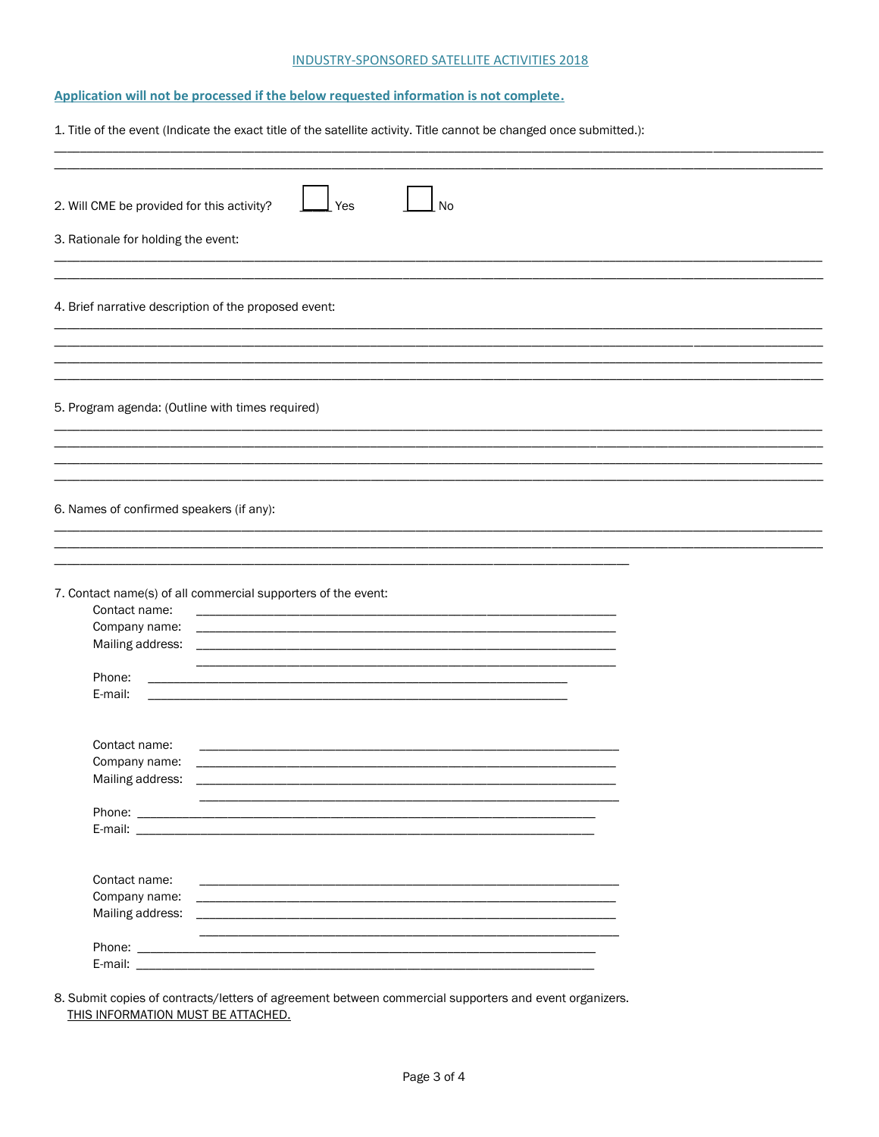### INDUSTRY-SPONSORED SATELLITE ACTIVITIES 2018

# Application will not be processed if the below requested information is not complete.

|                                                                                   | 1. Title of the event (Indicate the exact title of the satellite activity. Title cannot be changed once submitted.):                                                                                                                                                                                                                                                                                                                                                                                                                  |
|-----------------------------------------------------------------------------------|---------------------------------------------------------------------------------------------------------------------------------------------------------------------------------------------------------------------------------------------------------------------------------------------------------------------------------------------------------------------------------------------------------------------------------------------------------------------------------------------------------------------------------------|
| 2. Will CME be provided for this activity?<br>3. Rationale for holding the event: | <b>No</b><br>Yes                                                                                                                                                                                                                                                                                                                                                                                                                                                                                                                      |
| 4. Brief narrative description of the proposed event:                             |                                                                                                                                                                                                                                                                                                                                                                                                                                                                                                                                       |
| 5. Program agenda: (Outline with times required)                                  |                                                                                                                                                                                                                                                                                                                                                                                                                                                                                                                                       |
| 6. Names of confirmed speakers (if any):                                          |                                                                                                                                                                                                                                                                                                                                                                                                                                                                                                                                       |
| Contact name:<br>Company name:<br>Mailing address:<br>Phone:<br>E-mail:           | 7. Contact name(s) of all commercial supporters of the event:<br><u> 1989 - Johann Barbara, martxa alemaniar argumento estas estas estas estas estas estas estas estas estas estas</u><br><u> 1990 - Johann John Stone, markin fan de Fryske kunstne fan de ferstjer fan de ferstjer fan de ferstjer fan de</u><br><u> 1989 - Johann Harry Harry Harry Harry Harry Harry Harry Harry Harry Harry Harry Harry Harry Harry Harry Harry</u><br>the control of the control of the control of the control of the control of the control of |
| Contact name:<br>Company name:<br>Mailing address:                                |                                                                                                                                                                                                                                                                                                                                                                                                                                                                                                                                       |
| Contact name:<br>Company name:                                                    | E-mail: <b>E-mail: E-mail: E-mail: E-mail: E-mail: E-mail: E-mail: E-mail: E-mail: E-mail: E-mail: E-mail: E-mail: E-mail: E-mail: E-mail: E-mail: E-mail: E-mail: E-mail: E-mail: </b>                                                                                                                                                                                                                                                                                                                                               |
| Mailing address:<br>E-mail:                                                       |                                                                                                                                                                                                                                                                                                                                                                                                                                                                                                                                       |

8. Submit copies of contracts/letters of agreement between commercial supporters and event organizers. THIS INFORMATION MUST BE ATTACHED.